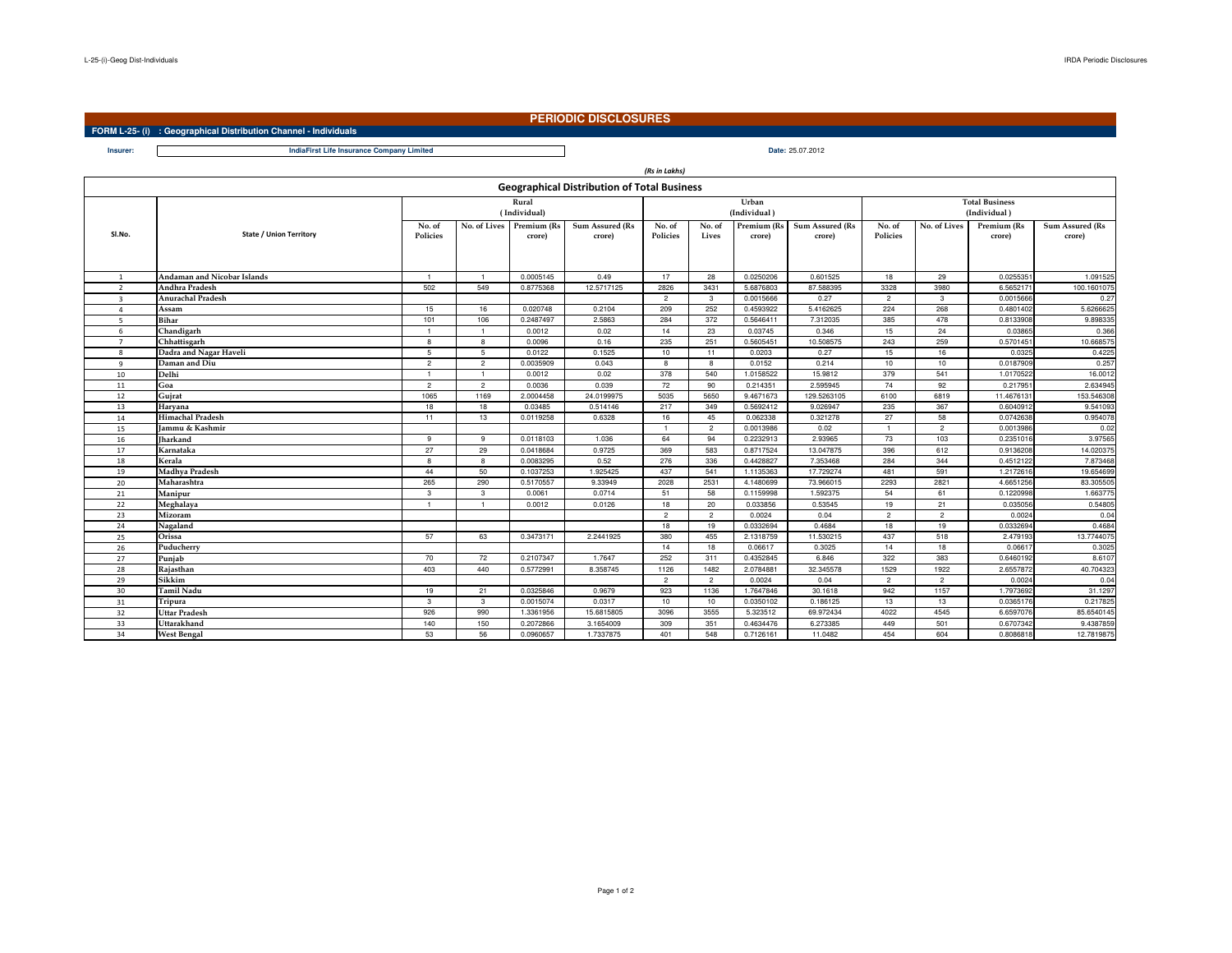**Insurer:**

## **PERIODIC DISCLOSURES**

**FORM L-25- (i) : Geographical Distribution Channel - Individuals**

**Date:** 25.07.2012**IndiaFirst Life Insurance Company Limited**

|                |                                |                    |                |                                    |                                                    | (Rs in Lakhs)      |                 |                       |                                  |                       |                |                       |                           |  |
|----------------|--------------------------------|--------------------|----------------|------------------------------------|----------------------------------------------------|--------------------|-----------------|-----------------------|----------------------------------|-----------------------|----------------|-----------------------|---------------------------|--|
|                |                                |                    |                |                                    | <b>Geographical Distribution of Total Business</b> |                    |                 |                       |                                  |                       |                |                       |                           |  |
|                |                                | Rural              |                |                                    |                                                    |                    |                 | Urban                 |                                  | <b>Total Business</b> |                |                       |                           |  |
|                |                                | (Individual)       |                |                                    |                                                    |                    |                 | (Individual)          |                                  | (Individual)          |                |                       |                           |  |
| SI.No.         | <b>State / Union Territory</b> | No. of<br>Policies |                | No. of Lives Premium (Rs<br>crore) | <b>Sum Assured (Rs</b><br>crore)                   | No. of<br>Policies | No. of<br>Lives | Premium (Rs<br>crore) | <b>Sum Assured (Rs</b><br>crore) | No. of<br>Policies    | No. of Lives   | Premium (Rs<br>crore) | Sum Assured (Rs<br>crore) |  |
| 1              | Andaman and Nicobar Islands    | $\overline{1}$     |                | 0.0005145                          | 0.49                                               | 17                 | 28              | 0.0250206             | 0.601525                         | 18                    | 29             | 0.025535              | 1.091525                  |  |
| $\overline{2}$ | Andhra Pradesh                 | 502                | 549            | 0.8775368                          | 12.5717125                                         | 2826               | 3431            | 5.6876803             | 87.588395                        | 3328                  | 3980           | 6.5652171             | 100.1601075               |  |
| $\overline{3}$ | <b>Anurachal Pradesh</b>       |                    |                |                                    |                                                    | $\overline{2}$     | $\mathbf{3}$    | 0.0015666             | 0.27                             | $\overline{2}$        | $\mathbf{3}$   | 0.0015666             | 0.27                      |  |
| $\overline{4}$ | Assam                          | 15                 | 16             | 0.020748                           | 0.2104                                             | 209                | 252             | 0.4593922             | 5.4162625                        | 224                   | 268            | 0.4801402             | 5.6266625                 |  |
| 5              | Bihar                          | 101                | 106            | 0.2487497                          | 2.5863                                             | 284                | 372             | 0.5646411             | 7.312035                         | 385                   | 478            | 0.8133908             | 9.898335                  |  |
| 6              | Chandigarh                     |                    |                | 0.0012                             | 0.02                                               | 14                 | 23              | 0.03745               | 0.346                            | 15                    | 24             | 0.03865               | 0.366                     |  |
| $\overline{7}$ | Chhattisgarh                   | 8                  | 8              | 0.0096                             | 0.16                                               | 235                | 251             | 0.5605451             | 10.508575                        | 243                   | 259            | 0.5701451             | 10.668575                 |  |
| 8              | Dadra and Nagar Haveli         | 5                  | -5             | 0.0122                             | 0.1525                                             | 10                 | 11              | 0.0203                | 0.27                             | 15                    | 16             | 0.0325                | 0.4225                    |  |
| 9              | Daman and Diu                  | $\overline{2}$     | $\overline{2}$ | 0.0035909                          | 0.043                                              | 8                  | 8               | 0.0152                | 0.214                            | 10                    | 10             | 0.0187909             | 0.257                     |  |
| 10             | Delhi                          |                    |                | 0.0012                             | 0.02                                               | 378                | 540             | 1.0158522             | 15,9812                          | 379                   | 541            | 1.0170522             | 16.0012                   |  |
| 11             | Goa                            | $\overline{2}$     | $\overline{2}$ | 0.0036                             | 0.039                                              | 72                 | 90              | 0.214351              | 2.595945                         | 74                    | 92             | 0.217951              | 2.634945                  |  |
| 12             | Gujrat                         | 1065               | 1169           | 2.0004458                          | 24.0199975                                         | 5035               | 5650            | 9.4671673             | 129.5263105                      | 6100                  | 6819           | 11.4676131            | 153.546308                |  |
| 13             | Harvana                        | 18                 | 18             | 0.03485                            | 0.514146                                           | 217                | 349             | 0.5692412             | 9.026947                         | 235                   | 367            | 0.6040912             | 9.541093                  |  |
| 14             | Himachal Pradesh               | 11                 | 13             | 0.0119258                          | 0.6328                                             | 16                 | 45              | 0.062338              | 0.321278                         | 27                    | 58             | 0.0742638             | 0.954078                  |  |
| 15             | Jammu & Kashmir                |                    |                |                                    |                                                    | $\overline{1}$     | $\overline{2}$  | 0.0013986             | 0.02                             | $\overline{1}$        | $\overline{2}$ | 0.0013986             | 0.02                      |  |
| 16             | <b>Iharkand</b>                | 9                  | 9              | 0.0118103                          | 1.036                                              | 64                 | 94              | 0.2232913             | 2.93965                          | 73                    | 103            | 0.2351016             | 3.97565                   |  |
| 17             | Karnataka                      | 27                 | 29             | 0.0418684                          | 0.9725                                             | 369                | 583             | 0.8717524             | 13.047875                        | 396                   | 612            | 0.9136208             | 14.020375                 |  |
| 18             | Kerala                         | 8                  | 8              | 0.0083295                          | 0.52                                               | 276                | 336             | 0.4428827             | 7.353468                         | 284                   | 344            | 0.4512122             | 7.873468                  |  |
| 19             | Madhva Pradesh                 | 44                 | 50             | 0.1037253                          | 1.925425                                           | 437                | 541             | 1.1135363             | 17.729274                        | 481                   | 591            | 1.2172616             | 19.654699                 |  |
| 20             | Maharashtra                    | 265                | 290            | 0.5170557                          | 9.33949                                            | 2028               | 2531            | 4.1480699             | 73.966015                        | 2293                  | 2821           | 4.6651256             | 83.305505                 |  |
| 21             | Manipur                        | 3                  | $\mathbf{3}$   | 0.0061                             | 0.0714                                             | 51                 | 58              | 0.1159998             | 1.592375                         | 54                    | 61             | 0.1220998             | 1.663775                  |  |
| 22             | Meghalaya                      |                    |                | 0.0012                             | 0.0126                                             | 18                 | 20              | 0.033856              | 0.53545                          | 19                    | 21             | 0.035056              | 0.54805                   |  |
| 23             | Mizoram                        |                    |                |                                    |                                                    | $\overline{2}$     | $\overline{2}$  | 0.0024                | 0.04                             | $\overline{2}$        | $\overline{2}$ | 0.0024                | 0.04                      |  |
| 24             | Nagaland                       |                    |                |                                    |                                                    | 18                 | 19              | 0.0332694             | 0.4684                           | 18                    | 19             | 0.0332694             | 0.4684                    |  |
| 25             | Orissa                         | 57                 | 63             | 0.3473171                          | 2.2441925                                          | 380                | 455             | 2.1318759             | 11.530215                        | 437                   | 518            | 2.479193              | 13.7744075                |  |
| 26             | Puducherry                     |                    |                |                                    |                                                    | 14                 | 18              | 0.06617               | 0.3025                           | 14                    | 18             | 0.06617               | 0.3025                    |  |
| 27             | Punjab                         | 70                 | 72             | 0.2107347                          | 1.7647                                             | 252                | 311             | 0.4352845             | 6.846                            | 322                   | 383            | 0.6460192             | 8.6107                    |  |
| 28             | Rajasthan                      | 403                | 440            | 0.5772991                          | 8.358745                                           | 1126               | 1482            | 2.0784881             | 32.345578                        | 1529                  | 1922           | 2.6557872             | 40.704323                 |  |
| 29             | Sikkim                         |                    |                |                                    |                                                    | $\overline{2}$     | $\overline{2}$  | 0.0024                | 0.04                             | $\overline{2}$        | $\overline{2}$ | 0.0024                | 0.04                      |  |
| 30             | <b>Tamil Nadu</b>              | 19                 | 21             | 0.0325846                          | 0.9679                                             | 923                | 1136            | 1.7647846             | 30.1618                          | 942                   | 1157           | 1.7973692             | 31.1297                   |  |
| 31             | Tripura                        | $\mathbf{3}$       | $\mathbf{3}$   | 0.0015074                          | 0.0317                                             | 10                 | 10              | 0.0350102             | 0.186125                         | 13                    | 13             | 0.0365176             | 0.217825                  |  |
| 32             | Uttar Pradesh                  | 926                | 990            | 1.3361956                          | 15.6815805                                         | 3096               | 3555            | 5.323512              | 69.972434                        | 4022                  | 4545           | 6.6597076             | 85.6540145                |  |
| 33             | Uttarakhand                    | 140                | 150            | 0.2072866                          | 3.1654009                                          | 309                | 351             | 0.4634476             | 6.273385                         | 449                   | 501            | 0.6707342             | 9.4387859                 |  |
| 34             | <b>West Bengal</b>             | 53                 | 56             | 0.0960657                          | 1.7337875                                          | 401                | 548             | 0.7126161             | 11.0482                          | 454                   | 604            | 0.8086818             | 12.7819875                |  |